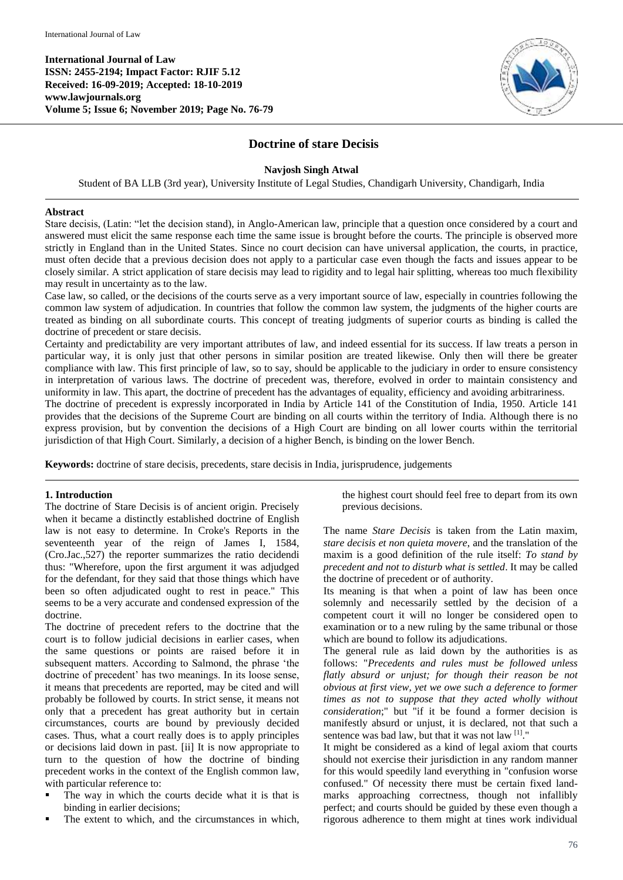**International Journal of Law ISSN: 2455-2194; Impact Factor: RJIF 5.12 Received: 16-09-2019; Accepted: 18-10-2019 www.lawjournals.org Volume 5; Issue 6; November 2019; Page No. 76-79**



# **Doctrine of stare Decisis**

### **Navjosh Singh Atwal**

Student of BA LLB (3rd year), University Institute of Legal Studies, Chandigarh University, Chandigarh, India

#### **Abstract**

Stare decisis, (Latin: "let the decision stand), in Anglo-American law, principle that a question once considered by a court and answered must elicit the same response each time the same issue is brought before the courts. The principle is observed more strictly in England than in the United States. Since no court decision can have universal application, the courts, in practice, must often decide that a previous decision does not apply to a particular case even though the facts and issues appear to be closely similar. A strict application of stare decisis may lead to rigidity and to legal hair splitting, whereas too much flexibility may result in uncertainty as to the law.

Case law, so called, or the decisions of the courts serve as a very important source of law, especially in countries following the common law system of adjudication. In countries that follow the common law system, the judgments of the higher courts are treated as binding on all subordinate courts. This concept of treating judgments of superior courts as binding is called the doctrine of precedent or stare decisis.

Certainty and predictability are very important attributes of law, and indeed essential for its success. If law treats a person in particular way, it is only just that other persons in similar position are treated likewise. Only then will there be greater compliance with law. This first principle of law, so to say, should be applicable to the judiciary in order to ensure consistency in interpretation of various laws. The doctrine of precedent was, therefore, evolved in order to maintain consistency and uniformity in law. This apart, the doctrine of precedent has the advantages of equality, efficiency and avoiding arbitrariness.

The doctrine of precedent is expressly incorporated in India by Article 141 of the Constitution of India, 1950. Article 141 provides that the decisions of the Supreme Court are binding on all courts within the territory of India. Although there is no express provision, but by convention the decisions of a High Court are binding on all lower courts within the territorial jurisdiction of that High Court. Similarly, a decision of a higher Bench, is binding on the lower Bench.

**Keywords:** doctrine of stare decisis, precedents, stare decisis in India, jurisprudence, judgements

#### **1. Introduction**

The doctrine of Stare Decisis is of ancient origin. Precisely when it became a distinctly established doctrine of English law is not easy to determine. In Croke's Reports in the seventeenth year of the reign of James I, 1584, (Cro.Jac.,527) the reporter summarizes the ratio decidendi thus: "Wherefore, upon the first argument it was adjudged for the defendant, for they said that those things which have been so often adjudicated ought to rest in peace." This seems to be a very accurate and condensed expression of the doctrine.

The doctrine of precedent refers to the doctrine that the court is to follow judicial decisions in earlier cases, when the same questions or points are raised before it in subsequent matters. According to Salmond, the phrase 'the doctrine of precedent' has two meanings. In its loose sense, it means that precedents are reported, may be cited and will probably be followed by courts. In strict sense, it means not only that a precedent has great authority but in certain circumstances, courts are bound by previously decided cases. Thus, what a court really does is to apply principles or decisions laid down in past. [ii] It is now appropriate to turn to the question of how the doctrine of binding precedent works in the context of the English common law, with particular reference to:

- The way in which the courts decide what it is that is binding in earlier decisions;
- The extent to which, and the circumstances in which,

the highest court should feel free to depart from its own previous decisions.

The name *Stare Decisis* is taken from the Latin maxim, *stare decisis et non quieta movere*, and the translation of the maxim is a good definition of the rule itself: *To stand by precedent and not to disturb what is settled*. It may be called the doctrine of precedent or of authority.

Its meaning is that when a point of law has been once solemnly and necessarily settled by the decision of a competent court it will no longer be considered open to examination or to a new ruling by the same tribunal or those which are bound to follow its adjudications.

The general rule as laid down by the authorities is as follows: "*Precedents and rules must be followed unless flatly absurd or unjust; for though their reason be not obvious at first view, yet we owe such a deference to former times as not to suppose that they acted wholly without consideration*;" but "if it be found a former decision is manifestly absurd or unjust, it is declared, not that such a sentence was bad law, but that it was not law [1]."

It might be considered as a kind of legal axiom that courts should not exercise their jurisdiction in any random manner for this would speedily land everything in "confusion worse confused." Of necessity there must be certain fixed landmarks approaching correctness, though not infallibly perfect; and courts should be guided by these even though a rigorous adherence to them might at tines work individual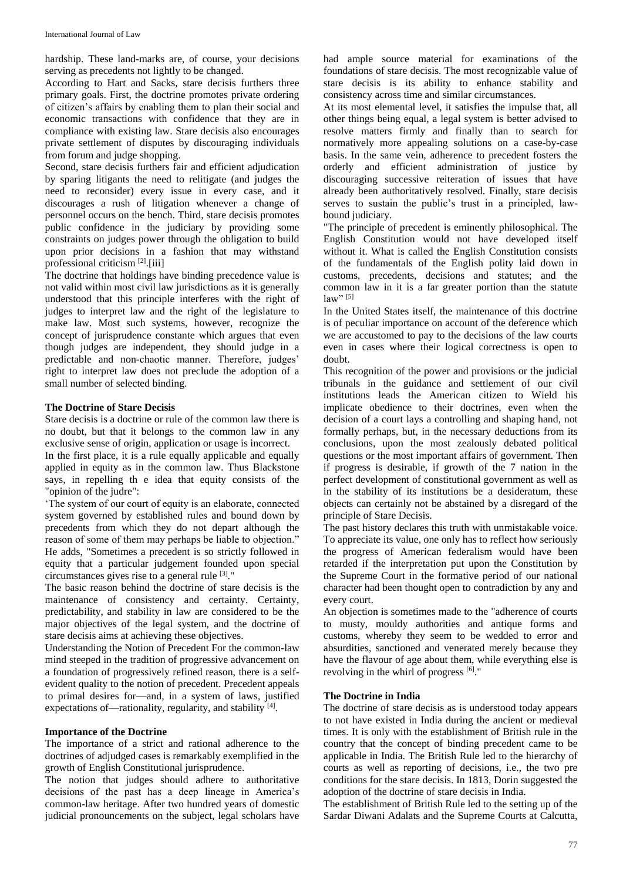hardship. These land-marks are, of course, your decisions serving as precedents not lightly to be changed.

According to Hart and Sacks, stare decisis furthers three primary goals. First, the doctrine promotes private ordering of citizen's affairs by enabling them to plan their social and economic transactions with confidence that they are in compliance with existing law. Stare decisis also encourages private settlement of disputes by discouraging individuals from forum and judge shopping.

Second, stare decisis furthers fair and efficient adjudication by sparing litigants the need to relitigate (and judges the need to reconsider) every issue in every case, and it discourages a rush of litigation whenever a change of personnel occurs on the bench. Third, stare decisis promotes public confidence in the judiciary by providing some constraints on judges power through the obligation to build upon prior decisions in a fashion that may withstand professional criticism<sup>[2]</sup>.[iii]

The doctrine that holdings have binding precedence value is not valid within most civil law jurisdictions as it is generally understood that this principle interferes with the right of judges to interpret law and the right of the legislature to make law. Most such systems, however, recognize the concept of jurisprudence constante which argues that even though judges are independent, they should judge in a predictable and non-chaotic manner. Therefore, judges' right to interpret law does not preclude the adoption of a small number of selected binding.

### **The Doctrine of Stare Decisis**

Stare decisis is a doctrine or rule of the common law there is no doubt, but that it belongs to the common law in any exclusive sense of origin, application or usage is incorrect.

In the first place, it is a rule equally applicable and equally applied in equity as in the common law. Thus Blackstone says, in repelling th e idea that equity consists of the "opinion of the judre":

'The system of our court of equity is an elaborate, connected system governed by established rules and bound down by precedents from which they do not depart although the reason of some of them may perhaps be liable to objection." He adds, "Sometimes a precedent is so strictly followed in equity that a particular judgement founded upon special circumstances gives rise to a general rule [3] ."

The basic reason behind the doctrine of stare decisis is the maintenance of consistency and certainty. Certainty, predictability, and stability in law are considered to be the major objectives of the legal system, and the doctrine of stare decisis aims at achieving these objectives.

Understanding the Notion of Precedent For the common-law mind steeped in the tradition of progressive advancement on a foundation of progressively refined reason, there is a selfevident quality to the notion of precedent. Precedent appeals to primal desires for—and, in a system of laws, justified expectations of—rationality, regularity, and stability [4].

#### **Importance of the Doctrine**

The importance of a strict and rational adherence to the doctrines of adjudged cases is remarkably exemplified in the growth of English Constitutional jurisprudence.

The notion that judges should adhere to authoritative decisions of the past has a deep lineage in America's common-law heritage. After two hundred years of domestic judicial pronouncements on the subject, legal scholars have

had ample source material for examinations of the foundations of stare decisis. The most recognizable value of stare decisis is its ability to enhance stability and consistency across time and similar circumstances.

At its most elemental level, it satisfies the impulse that, all other things being equal, a legal system is better advised to resolve matters firmly and finally than to search for normatively more appealing solutions on a case-by-case basis. In the same vein, adherence to precedent fosters the orderly and efficient administration of justice by discouraging successive reiteration of issues that have already been authoritatively resolved. Finally, stare decisis serves to sustain the public's trust in a principled, lawbound judiciary.

"The principle of precedent is eminently philosophical. The English Constitution would not have developed itself without it. What is called the English Constitution consists of the fundamentals of the English polity laid down in customs, precedents, decisions and statutes; and the common law in it is a far greater portion than the statute  $law"$ <sup>[5]</sup>

In the United States itself, the maintenance of this doctrine is of peculiar importance on account of the deference which we are accustomed to pay to the decisions of the law courts even in cases where their logical correctness is open to doubt.

This recognition of the power and provisions or the judicial tribunals in the guidance and settlement of our civil institutions leads the American citizen to Wield his implicate obedience to their doctrines, even when the decision of a court lays a controlling and shaping hand, not formally perhaps, but, in the necessary deductions from its conclusions, upon the most zealously debated political questions or the most important affairs of government. Then if progress is desirable, if growth of the 7 nation in the perfect development of constitutional government as well as in the stability of its institutions be a desideratum, these objects can certainly not be abstained by a disregard of the principle of Stare Decisis.

The past history declares this truth with unmistakable voice. To appreciate its value, one only has to reflect how seriously the progress of American federalism would have been retarded if the interpretation put upon the Constitution by the Supreme Court in the formative period of our national character had been thought open to contradiction by any and every court.

An objection is sometimes made to the "adherence of courts to musty, mouldy authorities and antique forms and customs, whereby they seem to be wedded to error and absurdities, sanctioned and venerated merely because they have the flavour of age about them, while everything else is revolving in the whirl of progress  $[6]$ ."

# **The Doctrine in India**

The doctrine of stare decisis as is understood today appears to not have existed in India during the ancient or medieval times. It is only with the establishment of British rule in the country that the concept of binding precedent came to be applicable in India. The British Rule led to the hierarchy of courts as well as reporting of decisions, i.e., the two pre conditions for the stare decisis. In 1813, Dorin suggested the adoption of the doctrine of stare decisis in India.

The establishment of British Rule led to the setting up of the Sardar Diwani Adalats and the Supreme Courts at Calcutta,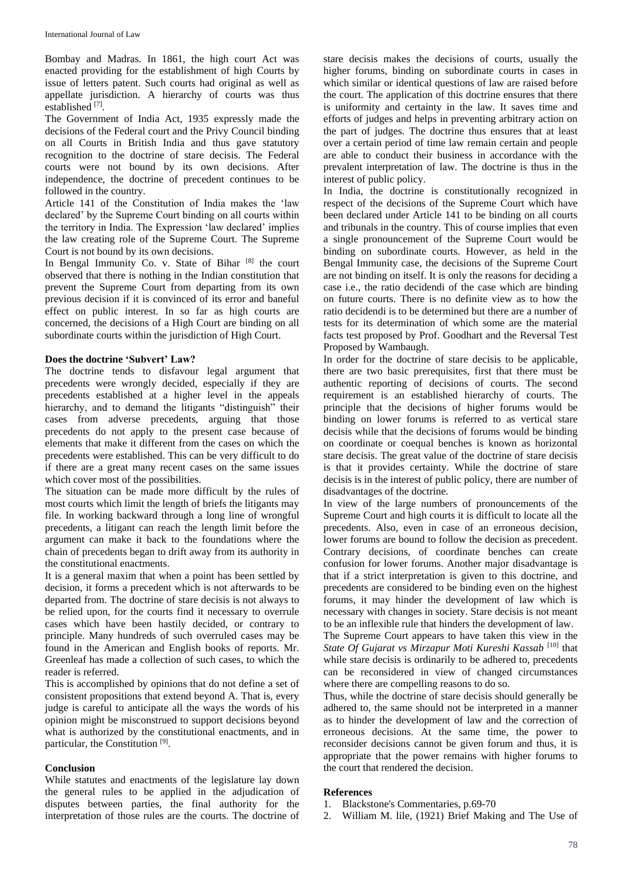Bombay and Madras. In 1861, the high court Act was enacted providing for the establishment of high Courts by issue of letters patent. Such courts had original as well as appellate jurisdiction. A hierarchy of courts was thus established<sup>[7]</sup>.

The Government of India Act, 1935 expressly made the decisions of the Federal court and the Privy Council binding on all Courts in British India and thus gave statutory recognition to the doctrine of stare decisis. The Federal courts were not bound by its own decisions. After independence, the doctrine of precedent continues to be followed in the country.

Article 141 of the Constitution of India makes the 'law declared' by the Supreme Court binding on all courts within the territory in India. The Expression 'law declared' implies the law creating role of the Supreme Court. The Supreme Court is not bound by its own decisions.

In Bengal Immunity Co. v. State of Bihar  $[8]$  the court observed that there is nothing in the Indian constitution that prevent the Supreme Court from departing from its own previous decision if it is convinced of its error and baneful effect on public interest. In so far as high courts are concerned, the decisions of a High Court are binding on all subordinate courts within the jurisdiction of High Court.

## **Does the doctrine 'Subvert' Law?**

The doctrine tends to disfavour legal argument that precedents were wrongly decided, especially if they are precedents established at a higher level in the appeals hierarchy, and to demand the litigants "distinguish" their cases from adverse precedents, arguing that those precedents do not apply to the present case because of elements that make it different from the cases on which the precedents were established. This can be very difficult to do if there are a great many recent cases on the same issues which cover most of the possibilities.

The situation can be made more difficult by the rules of most courts which limit the length of briefs the litigants may file. In working backward through a long line of wrongful precedents, a litigant can reach the length limit before the argument can make it back to the foundations where the chain of precedents began to drift away from its authority in the constitutional enactments.

It is a general maxim that when a point has been settled by decision, it forms a precedent which is not afterwards to be departed from. The doctrine of stare decisis is not always to be relied upon, for the courts find it necessary to overrule cases which have been hastily decided, or contrary to principle. Many hundreds of such overruled cases may be found in the American and English books of reports. Mr. Greenleaf has made a collection of such cases, to which the reader is referred.

This is accomplished by opinions that do not define a set of consistent propositions that extend beyond A. That is, every judge is careful to anticipate all the ways the words of his opinion might be misconstrued to support decisions beyond what is authorized by the constitutional enactments, and in particular, the Constitution<sup>[9]</sup>.

#### **Conclusion**

While statutes and enactments of the legislature lay down the general rules to be applied in the adjudication of disputes between parties, the final authority for the interpretation of those rules are the courts. The doctrine of

stare decisis makes the decisions of courts, usually the higher forums, binding on subordinate courts in cases in which similar or identical questions of law are raised before the court. The application of this doctrine ensures that there is uniformity and certainty in the law. It saves time and efforts of judges and helps in preventing arbitrary action on the part of judges. The doctrine thus ensures that at least over a certain period of time law remain certain and people are able to conduct their business in accordance with the prevalent interpretation of law. The doctrine is thus in the interest of public policy.

In India, the doctrine is constitutionally recognized in respect of the decisions of the Supreme Court which have been declared under Article 141 to be binding on all courts and tribunals in the country. This of course implies that even a single pronouncement of the Supreme Court would be binding on subordinate courts. However, as held in the Bengal Immunity case, the decisions of the Supreme Court are not binding on itself. It is only the reasons for deciding a case i.e., the ratio decidendi of the case which are binding on future courts. There is no definite view as to how the ratio decidendi is to be determined but there are a number of tests for its determination of which some are the material facts test proposed by Prof. Goodhart and the Reversal Test Proposed by Wambaugh.

In order for the doctrine of stare decisis to be applicable, there are two basic prerequisites, first that there must be authentic reporting of decisions of courts. The second requirement is an established hierarchy of courts. The principle that the decisions of higher forums would be binding on lower forums is referred to as vertical stare decisis while that the decisions of forums would be binding on coordinate or coequal benches is known as horizontal stare decisis. The great value of the doctrine of stare decisis is that it provides certainty. While the doctrine of stare decisis is in the interest of public policy, there are number of disadvantages of the doctrine.

In view of the large numbers of pronouncements of the Supreme Court and high courts it is difficult to locate all the precedents. Also, even in case of an erroneous decision, lower forums are bound to follow the decision as precedent. Contrary decisions, of coordinate benches can create confusion for lower forums. Another major disadvantage is that if a strict interpretation is given to this doctrine, and precedents are considered to be binding even on the highest forums, it may hinder the development of law which is necessary with changes in society. Stare decisis is not meant to be an inflexible rule that hinders the development of law.

The Supreme Court appears to have taken this view in the State Of Gujarat vs Mirzapur Moti Kureshi Kassab<sup>[10]</sup> that while stare decisis is ordinarily to be adhered to, precedents can be reconsidered in view of changed circumstances where there are compelling reasons to do so.

Thus, while the doctrine of stare decisis should generally be adhered to, the same should not be interpreted in a manner as to hinder the development of law and the correction of erroneous decisions. At the same time, the power to reconsider decisions cannot be given forum and thus, it is appropriate that the power remains with higher forums to the court that rendered the decision.

#### **References**

- 1. Blackstone's Commentaries, p.69-70
- 2. William M. lile, (1921) Brief Making and The Use of